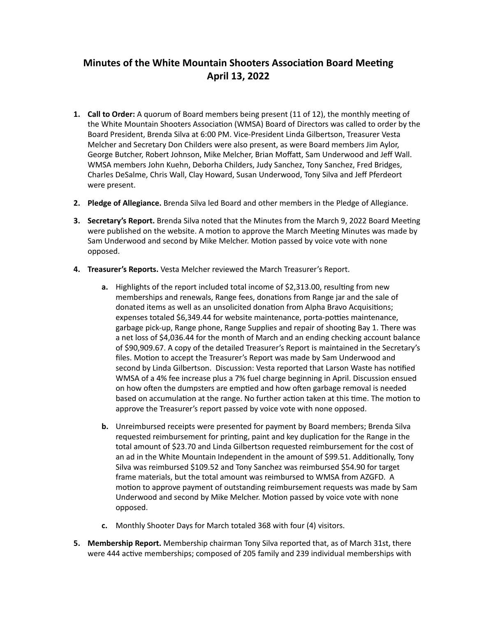## **Minutes of the White Mountain Shooters Association Board Meeting April 13, 2022**

- **1. Call to Order:** A quorum of Board members being present (11 of 12), the monthly meeting of the White Mountain Shooters Association (WMSA) Board of Directors was called to order by the Board President, Brenda Silva at 6:00 PM. Vice-President Linda Gilbertson, Treasurer Vesta Melcher and Secretary Don Childers were also present, as were Board members Jim Aylor, George Butcher, Robert Johnson, Mike Melcher, Brian Moffatt, Sam Underwood and Jeff Wall. WMSA members John Kuehn, Deborha Childers, Judy Sanchez, Tony Sanchez, Fred Bridges, Charles DeSalme, Chris Wall, Clay Howard, Susan Underwood, Tony Silva and Jeff Pferdeort were present.
- **2. Pledge of Allegiance.** Brenda Silva led Board and other members in the Pledge of Allegiance.
- **3. Secretary's Report.** Brenda Silva noted that the Minutes from the March 9, 2022 Board Meeting were published on the website. A motion to approve the March Meeting Minutes was made by Sam Underwood and second by Mike Melcher. Motion passed by voice vote with none opposed.
- 4. **Treasurer's Reports.** Vesta Melcher reviewed the March Treasurer's Report.
	- **a.** Highlights of the report included total income of \$2,313.00, resulting from new memberships and renewals, Range fees, donations from Range jar and the sale of donated items as well as an unsolicited donation from Alpha Bravo Acquisitions; expenses totaled \$6,349.44 for website maintenance, porta-potties maintenance, garbage pick-up, Range phone, Range Supplies and repair of shooting Bay 1. There was a net loss of \$4,036.44 for the month of March and an ending checking account balance of \$90,909.67. A copy of the detailed Treasurer's Report is maintained in the Secretary's files. Motion to accept the Treasurer's Report was made by Sam Underwood and second by Linda Gilbertson. Discussion: Vesta reported that Larson Waste has notified WMSA of a 4% fee increase plus a 7% fuel charge beginning in April. Discussion ensued on how often the dumpsters are emptied and how often garbage removal is needed based on accumulation at the range. No further action taken at this time. The motion to approve the Treasurer's report passed by voice vote with none opposed.
	- **b.** Unreimbursed receipts were presented for payment by Board members; Brenda Silva requested reimbursement for printing, paint and key duplication for the Range in the total amount of \$23.70 and Linda Gilbertson requested reimbursement for the cost of an ad in the White Mountain Independent in the amount of \$99.51. Additionally, Tony Silva was reimbursed \$109.52 and Tony Sanchez was reimbursed \$54.90 for target frame materials, but the total amount was reimbursed to WMSA from AZGFD. A motion to approve payment of outstanding reimbursement requests was made by Sam Underwood and second by Mike Melcher. Motion passed by voice vote with none opposed.
	- **c.** Monthly Shooter Days for March totaled 368 with four (4) visitors.
- **5.** Membership Report. Membership chairman Tony Silva reported that, as of March 31st, there were 444 active memberships; composed of 205 family and 239 individual memberships with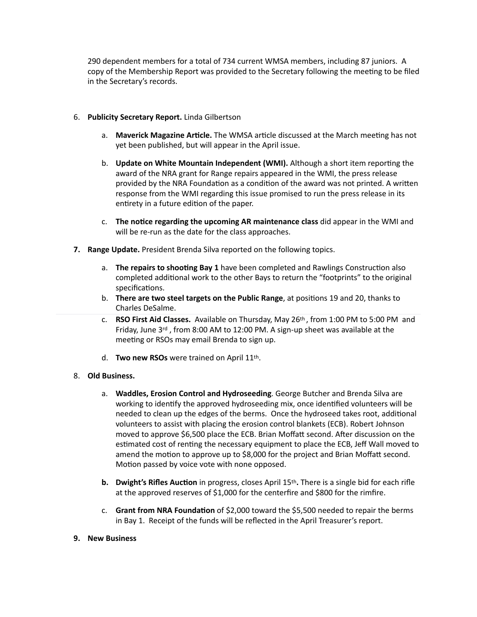290 dependent members for a total of 734 current WMSA members, including 87 juniors. A copy of the Membership Report was provided to the Secretary following the meeting to be filed in the Secretary's records.

## 6. **Publicity Secretary Report.** Linda Gilbertson

- a. **Maverick Magazine Article.** The WMSA article discussed at the March meeting has not yet been published, but will appear in the April issue.
- b. **Update on White Mountain Independent (WMI).** Although a short item reporting the award of the NRA grant for Range repairs appeared in the WMI, the press release provided by the NRA Foundation as a condition of the award was not printed. A written response from the WMI regarding this issue promised to run the press release in its entirety in a future edition of the paper.
- c. **The notice regarding the upcoming AR maintenance class** did appear in the WMI and will be re-run as the date for the class approaches.
- **7.** Range Update. President Brenda Silva reported on the following topics.
	- a. **The repairs to shooting Bay 1** have been completed and Rawlings Construction also completed additional work to the other Bays to return the "footprints" to the original specifications.
	- b. **There are two steel targets on the Public Range**, at positions 19 and 20, thanks to Charles DeSalme.
	- c. **RSO First Aid Classes.** Available on Thursday, May 26<sup>th</sup>, from 1:00 PM to 5:00 PM and Friday, June  $3rd$ , from 8:00 AM to 12:00 PM. A sign-up sheet was available at the meeting or RSOs may email Brenda to sign up.
	- d. **Two new RSOs** were trained on April 11<sup>th</sup>.

## 8. **Old Business.**

- a. **Waddles, Erosion Control and Hydroseeding**. George Butcher and Brenda Silva are working to identify the approved hydroseeding mix, once identified volunteers will be needed to clean up the edges of the berms. Once the hydroseed takes root, additional volunteers to assist with placing the erosion control blankets (ECB). Robert Johnson moved to approve \$6,500 place the ECB. Brian Moffatt second. After discussion on the estimated cost of renting the necessary equipment to place the ECB, Jeff Wall moved to amend the motion to approve up to \$8,000 for the project and Brian Moffatt second. Motion passed by voice vote with none opposed.
- **b. Dwight's Rifles Auction** in progress, closes April 15<sup>th</sup>. There is a single bid for each rifle at the approved reserves of \$1,000 for the centerfire and \$800 for the rimfire.
- c. **Grant from NRA Foundation** of \$2,000 toward the \$5,500 needed to repair the berms in Bay 1. Receipt of the funds will be reflected in the April Treasurer's report.

## **9. New Business**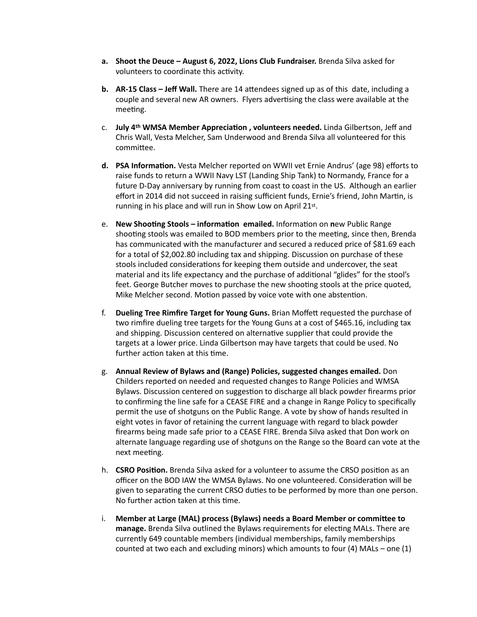- **a.** Shoot the Deuce August 6, 2022, Lions Club Fundraiser. Brenda Silva asked for volunteers to coordinate this activity.
- **b.** AR-15 Class Jeff Wall. There are 14 attendees signed up as of this date, including a couple and several new AR owners. Flyers advertising the class were available at the meeting.
- c. **July 4th WMSA Member Appreciation, volunteers needed.** Linda Gilbertson, Jeff and Chris Wall, Vesta Melcher, Sam Underwood and Brenda Silva all volunteered for this committee.
- **d. PSA Information.** Vesta Melcher reported on WWII vet Ernie Andrus' (age 98) efforts to raise funds to return a WWII Navy LST (Landing Ship Tank) to Normandy, France for a future D-Day anniversary by running from coast to coast in the US. Although an earlier effort in 2014 did not succeed in raising sufficient funds, Ernie's friend, John Martin, is running in his place and will run in Show Low on April 21st.
- e. New Shooting Stools information emailed. Information on new Public Range shooting stools was emailed to BOD members prior to the meeting, since then, Brenda has communicated with the manufacturer and secured a reduced price of \$81.69 each for a total of \$2,002.80 including tax and shipping. Discussion on purchase of these stools included considerations for keeping them outside and undercover, the seat material and its life expectancy and the purchase of additional "glides" for the stool's feet. George Butcher moves to purchase the new shooting stools at the price quoted, Mike Melcher second. Motion passed by voice vote with one abstention.
- f. **Dueling Tree Rimfire Target for Young Guns.** Brian Moffett requested the purchase of two rimfire dueling tree targets for the Young Guns at a cost of \$465.16, including tax and shipping. Discussion centered on alternative supplier that could provide the targets at a lower price. Linda Gilbertson may have targets that could be used. No further action taken at this time.
- g. Annual Review of Bylaws and (Range) Policies, suggested changes emailed. Don Childers reported on needed and requested changes to Range Policies and WMSA Bylaws. Discussion centered on suggestion to discharge all black powder firearms prior to confirming the line safe for a CEASE FIRE and a change in Range Policy to specifically permit the use of shotguns on the Public Range. A vote by show of hands resulted in eight votes in favor of retaining the current language with regard to black powder firearms being made safe prior to a CEASE FIRE. Brenda Silva asked that Don work on alternate language regarding use of shotguns on the Range so the Board can vote at the next meeting.
- h. **CSRO Position.** Brenda Silva asked for a volunteer to assume the CRSO position as an officer on the BOD IAW the WMSA Bylaws. No one volunteered. Consideration will be given to separating the current CRSO duties to be performed by more than one person. No further action taken at this time.
- i. Member at Large (MAL) process (Bylaws) needs a Board Member or committee to **manage.** Brenda Silva outlined the Bylaws requirements for electing MALs. There are currently 649 countable members (individual memberships, family memberships counted at two each and excluding minors) which amounts to four (4) MALs – one (1)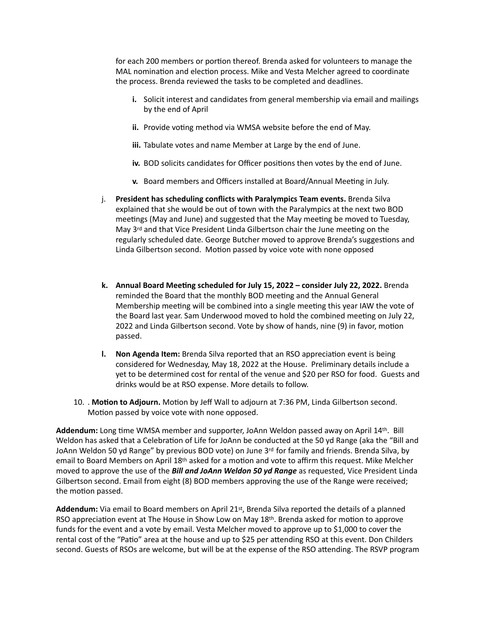for each 200 members or portion thereof. Brenda asked for volunteers to manage the MAL nomination and election process. Mike and Vesta Melcher agreed to coordinate the process. Brenda reviewed the tasks to be completed and deadlines.

- **i.** Solicit interest and candidates from general membership via email and mailings by the end of April
- **ii.** Provide voting method via WMSA website before the end of May.
- **iii.** Tabulate votes and name Member at Large by the end of June.
- iv. BOD solicits candidates for Officer positions then votes by the end of June.
- **v.** Board members and Officers installed at Board/Annual Meeting in July.
- j. **President has scheduling conflicts with Paralympics Team events.** Brenda Silva explained that she would be out of town with the Paralympics at the next two BOD meetings (May and June) and suggested that the May meeting be moved to Tuesday, May 3<sup>rd</sup> and that Vice President Linda Gilbertson chair the June meeting on the regularly scheduled date. George Butcher moved to approve Brenda's suggestions and Linda Gilbertson second. Motion passed by voice vote with none opposed
- **k.** Annual Board Meeting scheduled for July 15, 2022 consider July 22, 2022. Brenda reminded the Board that the monthly BOD meeting and the Annual General Membership meeting will be combined into a single meeting this year IAW the vote of the Board last year. Sam Underwood moved to hold the combined meeting on July 22, 2022 and Linda Gilbertson second. Vote by show of hands, nine (9) in favor, motion passed.
- **l.** Non Agenda Item: Brenda Silva reported that an RSO appreciation event is being considered for Wednesday, May 18, 2022 at the House. Preliminary details include a yet to be determined cost for rental of the venue and \$20 per RSO for food. Guests and drinks would be at RSO expense. More details to follow.
- 10. . Motion to Adjourn. Motion by Jeff Wall to adjourn at 7:36 PM, Linda Gilbertson second. Motion passed by voice vote with none opposed.

Addendum: Long time WMSA member and supporter, JoAnn Weldon passed away on April 14<sup>th</sup>. Bill Weldon has asked that a Celebration of Life for JoAnn be conducted at the 50 yd Range (aka the "Bill and JoAnn Weldon 50 yd Range" by previous BOD vote) on June  $3^{rd}$  for family and friends. Brenda Silva, by email to Board Members on April 18<sup>th</sup> asked for a motion and vote to affirm this request. Mike Melcher moved to approve the use of the **Bill and JoAnn Weldon 50 yd Range** as requested, Vice President Linda Gilbertson second. Email from eight (8) BOD members approving the use of the Range were received; the motion passed.

Addendum: Via email to Board members on April 21st, Brenda Silva reported the details of a planned RSO appreciation event at The House in Show Low on May  $18<sup>th</sup>$ . Brenda asked for motion to approve funds for the event and a vote by email. Vesta Melcher moved to approve up to \$1,000 to cover the rental cost of the "Patio" area at the house and up to \$25 per attending RSO at this event. Don Childers second. Guests of RSOs are welcome, but will be at the expense of the RSO attending. The RSVP program